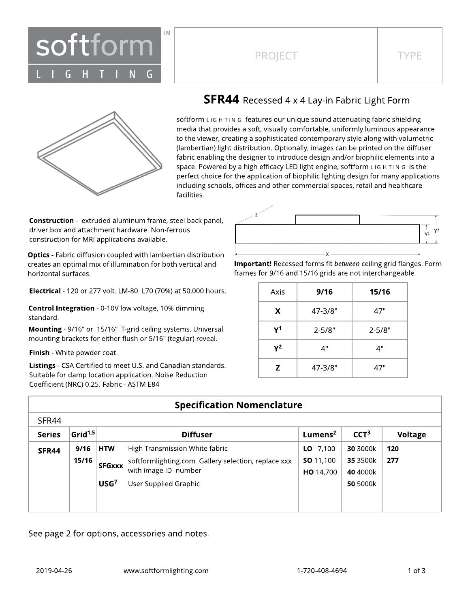

### PROJECT TYPE



### **SFR44** Recessed 4 x 4 Lay-in Fabric Light Form

softform LIG H TIN G features our unique sound attenuating fabric shielding media that provides a soft, visually comfortable, uniformly luminous appearance to the viewer, creating a sophisticated contemporary style along with volumetric (lambertian) light distribution. Optionally, images can be printed on the diffuser fabric enabling the designer to introduce design and/or biophilic elements into a space. Powered by a high efficacy LED light engine, softform L IG H T IN G is the perfect choice for the application of biophilic lighting design for many applications including schools, offices and other commercial spaces, retail and healthcare facilities.

**Construction** - extruded aluminum frame, steel back panel, driver box and attachment hardware. Non-ferrous construction for MRI applications available.

**Optics** - Fabric diffusion coupled with lambertian distribution creates an optimal mix of illumination for both vertical and horizontal surfaces.

Electrical - 120 or 277 volt. LM-80 L70 (70%) at 50,000 hours.

Control Integration - 0-10V low voltage, 10% dimming standard.

Mounting - 9/16" or 15/16" T-grid ceiling systems. Universal mounting brackets for either flush or 5/16" (tegular) reveal.

Finish - White powder coat.

Listings - CSA Certified to meet U.S. and Canadian standards. Suitable for damp location application. Noise Reduction Coefficient (NRC) 0.25. Fabric - ASTM E84



Important! Recessed forms fit between ceiling grid flanges. Form frames for 9/16 and 15/16 grids are not interchangeable.

| Axis  | 9/16       | 15/16      |
|-------|------------|------------|
| X     | 47-3/8"    | 47"        |
| $Y^1$ | $2 - 5/8"$ | $2 - 5/8"$ |
| $Y^2$ | 4"         | 4"         |
| Z     | 47-3/8"    | 47"        |

| <b>Specification Nomenclature</b> |                     |                  |                                                     |                     |                  |         |  |  |  |  |  |  |
|-----------------------------------|---------------------|------------------|-----------------------------------------------------|---------------------|------------------|---------|--|--|--|--|--|--|
| SFR44                             |                     |                  |                                                     |                     |                  |         |  |  |  |  |  |  |
| <b>Series</b>                     | Grid <sup>1,5</sup> |                  | <b>Diffuser</b>                                     | Lumens <sup>2</sup> | CCT <sup>3</sup> | Voltage |  |  |  |  |  |  |
| SFR44                             | 9/16                | <b>HTW</b>       | High Transmission White fabric                      | LO $7,100$          | 30 3000k         | 120     |  |  |  |  |  |  |
|                                   | 15/16               | <b>SFGxxx</b>    | softformlighting.com Gallery selection, replace xxx | <b>SO</b> 11,100    | 35 3500k         | 277     |  |  |  |  |  |  |
|                                   |                     |                  | with image ID number                                | HO 14,700           | 40 4000k         |         |  |  |  |  |  |  |
|                                   |                     | USG <sup>7</sup> | User Supplied Graphic                               |                     | 50 5000k         |         |  |  |  |  |  |  |
|                                   |                     |                  |                                                     |                     |                  |         |  |  |  |  |  |  |
|                                   |                     |                  |                                                     |                     |                  |         |  |  |  |  |  |  |

See page 2 for options, accessories and notes.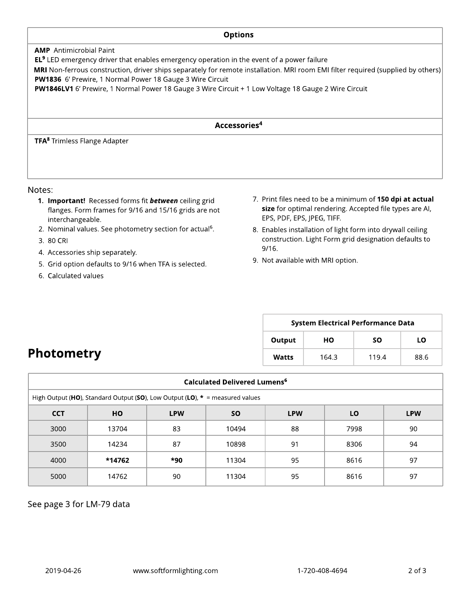# **Options** AMP Antimicrobial Paint **EL<sup>9</sup>** LED emergency driver that enables emergency operation in the event of a power failure MRI Non-ferrous construction, driver ships separately for remote installation. MRI room EMI filter required (supplied by others) PW1836 6' Prewire, 1 Normal Power 18 Gauge 3 Wire Circuit PW1846LV1 6' Prewire, 1 Normal Power 18 Gauge 3 Wire Circuit + 1 Low Voltage 18 Gauge 2 Wire Circuit Accessories 4 TFA <sup>8</sup> Trimless Flange Adapter

#### Notes:

- 1. Important! Recessed forms fit **between** ceiling grid flanges. Form frames for 9/16 and 15/16 grids are not interchangeable.
- 2. Nominal values. See photometry section for actual<sup>6</sup>.
- 3. 80 CRI
- 4. Accessories ship separately.
- 5. Grid option defaults to 9/16 when TFA is selected.
- 6. Calculated values

**Photometry** 

- 7. Print files need to be a minimum of 150 dpi at actual size for optimal rendering. Accepted file types are AI, EPS, PDF, EPS, JPEG, TIFF.
- 8. Enables installation of light form into drywall ceiling construction. Light Form grid designation defaults to 9/16.
- 9. Not available with MRI option.

| <b>System Electrical Performance Data</b> |       |       |      |  |  |  |  |  |  |
|-------------------------------------------|-------|-------|------|--|--|--|--|--|--|
| Output                                    | HО    | SΟ    | LΟ   |  |  |  |  |  |  |
| Watts                                     | 164.3 | 119.4 | 88.6 |  |  |  |  |  |  |

## Calculated Delivered Lumens<sup>6</sup> High Output (HO), Standard Output (SO), Low Output (LO),  $* =$  measured values CCT | HO | LPW | SO | LPW | LO | LPW 3000 13704 83 10494 88 7998 90 3500 | 14234 | 87 | 10898 | 91 | 8306 | 94 4000 | **\*14762** | **\*90** | 11304 | 95 | 8616 | 97 5000 14762 90 11304 95 8616 97

See page 3 for LM-79 data